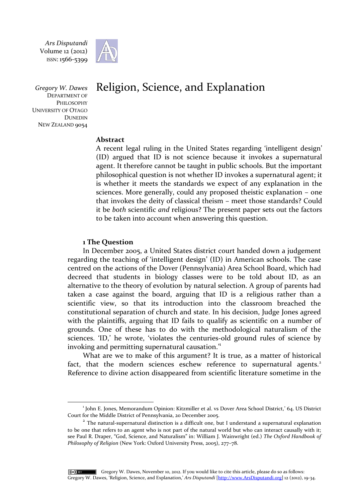

*Gregory W. Dawes* DEPARTMENT OF **PHILOSOPHY** UNIVERSITY OF OTAGO DUNEDIN NEW ZEALAND 9054

 $\overline{a}$ 

# Religion, Science, and Explanation

### **Abstract**

A recent legal ruling in the United States regarding 'intelligent design' (ID) argued that ID is not science because it invokes a supernatural agent. It therefore cannot be taught in public schools. But the important philosophical question is not whether ID invokes a supernatural agent; it is whether it meets the standards we expect of any explanation in the sciences. More generally, could any proposed theistic explanation – one that invokes the deity of classical theism – meet those standards? Could it be *both* scientific *and* religious? The present paper sets out the factors to be taken into account when answering this question.

#### **1 The Question**

In December 2005, a United States district court handed down a judgement regarding the teaching of 'intelligent design' (ID) in American schools. The case centred on the actions of the Dover (Pennsylvania) Area School Board, which had decreed that students in biology classes were to be told about ID, as an alternative to the theory of evolution by natural selection. A group of parents had taken a case against the board, arguing that ID is a religious rather than a scientific view, so that its introduction into the classroom breached the constitutional separation of church and state. In his decision, Judge Jones agreed with the plaintiffs, arguing that ID fails to qualify as scientific on a number of grounds. One of these has to do with the methodological naturalism of the sciences. 'ID,' he wrote, 'violates the centuries-old ground rules of science by invoking and permitting supernatural causation.' 1

What are we to make of this argument? It is true, as a matter of historical fact, that the modern sciences eschew reference to supernatural agents.<sup>2</sup> Reference to divine action disappeared from scientific literature sometime in the

<sup>&</sup>lt;sup>1</sup> John E. Jones, Memorandum Opinion: Kitzmiller et al. vs Dover Area School District,' 64. US District Court for the Middle District of Pennsylvania, 20 December 2005.

<sup>&</sup>lt;sup>2</sup> The natural-supernatural distinction is a difficult one, but I understand a supernatural explanation to be one that refers to an agent who is not part of the natural world but who can interact causally with it; see Paul R. Draper, "God, Science, and Naturalism" in: William J. Wainwright (ed.) *The Oxford Handbook of Philosophy of Religion* (New York: Oxford University Press, 2005), 277–78.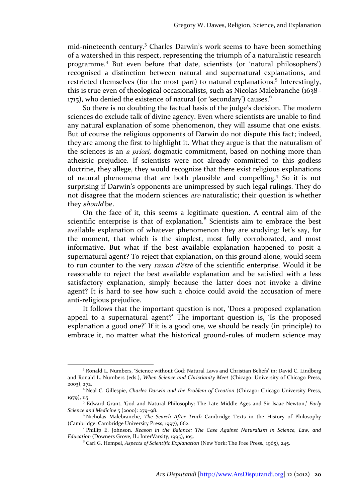mid-nineteenth century.<sup>3</sup> Charles Darwin's work seems to have been something of a watershed in this respect, representing the triumph of a naturalistic research programme.<sup>4</sup> But even before that date, scientists (or 'natural philosophers') recognised a distinction between natural and supernatural explanations, and restricted themselves (for the most part) to natural explanations.<sup>5</sup> Interestingly, this is true even of theological occasionalists, such as Nicolas Malebranche (1638– 1715), who denied the existence of natural (or 'secondary') causes. $6$ 

So there is no doubting the factual basis of the judge's decision. The modern sciences do exclude talk of divine agency. Even where scientists are unable to find any natural explanation of some phenomenon, they will assume that one exists. But of course the religious opponents of Darwin do not dispute this fact; indeed, they are among the first to highlight it. What they argue is that the naturalism of the sciences is an *a priori*, dogmatic commitment, based on nothing more than atheistic prejudice. If scientists were not already committed to this godless doctrine, they allege, they would recognize that there exist religious explanations of natural phenomena that are both plausible and compelling.<sup>7</sup> So it is not surprising if Darwin's opponents are unimpressed by such legal rulings. They do not disagree that the modern sciences *are* naturalistic; their question is whether they should be.

On the face of it, this seems a legitimate question. A central aim of the scientific enterprise is that of explanation. $8$  Scientists aim to embrace the best available explanation of whatever phenomenon they are studying: let's say, for the moment, that which is the simplest, most fully corroborated, and most informative. But what if the best available explanation happened to posit a supernatural agent? To reject that explanation, on this ground alone, would seem to run counter to the very raison d'être of the scientific enterprise. Would it be reasonable to reject the best available explanation and be satisfied with a less satisfactory explanation, simply because the latter does not invoke a divine agent? It is hard to see how such a choice could avoid the accusation of mere anti-religious prejudice.

It follows that the important question is not, 'Does a proposed explanation appeal to a supernatural agent?' The important question is, 'Is the proposed explanation a good one?' If it is a good one, we should be ready (in principle) to embrace it, no matter what the historical ground-rules of modern science may

<sup>&</sup>lt;sup>3</sup> Ronald L. Numbers, 'Science without God: Natural Laws and Christian Beliefs' in: David C. Lindberg and Ronald L. Numbers (eds.), *When Science and Christianity Meet* (Chicago: University of Chicago Press, 2003), 272.

<sup>4</sup> Neal C. Gillespie, *Charles Darwin and the Problem of Creation* (Chicago: Chicago University Press, 1979), 115.

<sup>5</sup> Edward Grant, 'God and Natural Philosophy: The Late Middle Ages and Sir Isaac Newton,' *Early Science and Medicine* 5 (2000): 279–98.

<sup>6</sup> Nicholas Malebranche, *The Search After Truth* Cambridge Texts in the History of Philosophy (Cambridge: Cambridge University Press, 1997), 662.

<sup>7</sup> Phillip E. Johnson*, Reason in the Balance: The Case Against Naturalism in Science, Law, and Education* (Downers Grove, IL: InterVarsity, 1995), 105.

<sup>8</sup> Carl G. Hempel, *Aspects of Scientific Explanation* (New York: The Free Press., 1965), 245.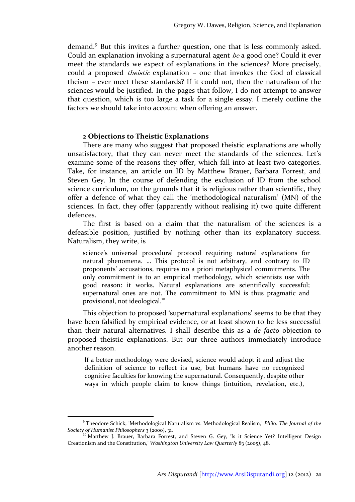demand.<sup>9</sup> But this invites a further question, one that is less commonly asked. Could an explanation invoking a supernatural agent be a good one? Could it ever meet the standards we expect of explanations in the sciences? More precisely, could a proposed theistic explanation – one that invokes the God of classical theism – ever meet these standards? If it could not, then the naturalism of the sciences would be justified. In the pages that follow, I do not attempt to answer that question, which is too large a task for a single essay. I merely outline the factors we should take into account when offering an answer.

#### **2 Objections to Theistic Explanations**

There are many who suggest that proposed theistic explanations are wholly unsatisfactory, that they can never meet the standards of the sciences. Let's examine some of the reasons they offer, which fall into at least two categories. Take, for instance, an article on ID by Matthew Brauer, Barbara Forrest, and Steven Gey. In the course of defending the exclusion of ID from the school science curriculum, on the grounds that it is religious rather than scientific, they offer a defence of what they call the 'methodological naturalism' (MN) of the sciences. In fact, they offer (apparently without realising it) two quite different defences.

The first is based on a claim that the naturalism of the sciences is a defeasible position, justified by nothing other than its explanatory success. Naturalism, they write, is

science's universal procedural protocol requiring natural explanations for natural phenomena. … This protocol is not arbitrary, and contrary to ID proponents' accusations, requires no a priori metaphysical commitments. The only commitment is to an empirical methodology, which scientists use with good reason: it works. Natural explanations are scientifically successful; supernatural ones are not. The commitment to MN is thus pragmatic and provisional, not ideological.<sup>10</sup>

This objection to proposed 'supernatural explanations' seems to be that they have been falsified by empirical evidence, or at least shown to be less successful than their natural alternatives. I shall describe this as a *de facto* objection to proposed theistic explanations. But our three authors immediately introduce another reason.

If a better methodology were devised, science would adopt it and adjust the definition of science to reflect its use, but humans have no recognized cognitive faculties for knowing the supernatural. Consequently, despite other ways in which people claim to know things (intuition, revelation, etc.),

<sup>9</sup> Theodore Schick, 'Methodological Naturalism vs. Methodological Realism,' *Philo: The Journal of the Society of Humanist Philosophers* 3 (2000), 31.

 $10^{\circ}$  Matthew J. Brauer, Barbara Forrest, and Steven G. Gey, 'Is it Science Yet? Intelligent Design Creationism and the Constitution,' *Washington University Law Quarterly* 83 (2005), 48.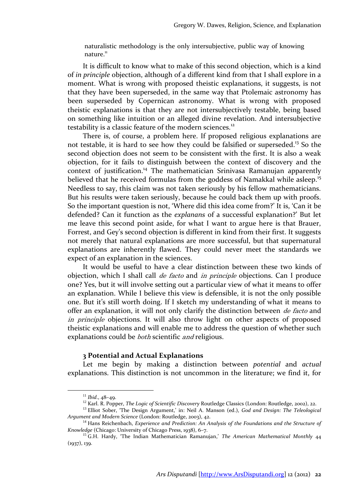naturalistic methodology is the only intersubjective, public way of knowing  $n$ ature. $11$ 

It is difficult to know what to make of this second objection, which is a kind of *in principle* objection, although of a different kind from that I shall explore in a moment. What is wrong with proposed theistic explanations, it suggests, is not that they have been superseded, in the same way that Ptolemaic astronomy has been superseded by Copernican astronomy. What is wrong with proposed theistic explanations is that they are not intersubjectively testable, being based on something like intuition or an alleged divine revelation. And intersubjective testability is a classic feature of the modern sciences.<sup>12</sup>

There is, of course, a problem here. If proposed religious explanations are not testable, it is hard to see how they could be falsified or superseded.<sup>13</sup> So the second objection does not seem to be consistent with the first. It is also a weak objection, for it fails to distinguish between the context of discovery and the context of justification.<sup>14</sup> The mathematician Srinivasa Ramanujan apparently believed that he received formulas from the goddess of Namakkal while asleep.<sup>15</sup> Needless to say, this claim was not taken seriously by his fellow mathematicians. But his results were taken seriously, because he could back them up with proofs. So the important question is not, 'Where did this idea come from?' It is, 'Can it be defended? Can it function as the *explanans* of a successful explanation?' But let me leave this second point aside, for what I want to argue here is that Brauer, Forrest, and Gey's second objection is different in kind from their first. It suggests not merely that natural explanations are more successful, but that supernatural explanations are inherently flawed. They could never meet the standards we expect of an explanation in the sciences.

It would be useful to have a clear distinction between these two kinds of objection, which I shall call *de facto* and *in principle* objections. Can I produce one? Yes, but it will involve setting out a particular view of what it means to offer an explanation. While I believe this view is defensible, it is not the only possible one. But it's still worth doing. If I sketch my understanding of what it means to offer an explanation, it will not only clarify the distinction between *de facto* and in principle objections. It will also throw light on other aspects of proposed theistic explanations and will enable me to address the question of whether such explanations could be both scientific and religious.

## **3 Potential and Actual Explanations**

Let me begin by making a distinction between *potential* and *actual* explanations. This distinction is not uncommon in the literature; we find it, for

<sup>11</sup> *Ibid*., 48–49.

<sup>12</sup> Karl. R. Popper, *The Logic of Scientific Discovery* Routledge Classics (London: Routledge, 2002), 22.

<sup>13</sup> Elliot Sober, 'The Design Argument,' in: Neil A. Manson (ed.), *God and Design: The Teleological Argument and Modern Science* (London: Routledge, 2003), 42.

<sup>&</sup>lt;sup>14</sup> Hans Reichenbach, *Experience and Prediction: An Analysis of the Foundations and the Structure of Knowledge* (Chicago: University of Chicago Press, 1938), 6–7.

<sup>15</sup> G.H. Hardy, 'The Indian Mathematician Ramanujan,' *The American Mathematical Monthly* 44 (1937), 139.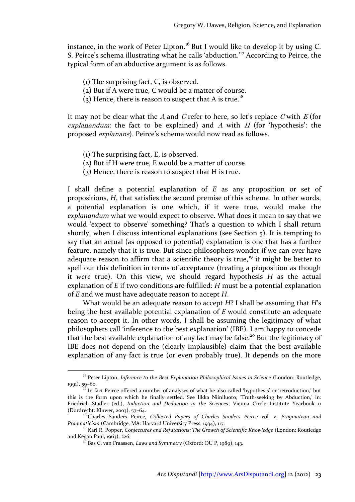instance, in the work of Peter Lipton.<sup>16</sup> But I would like to develop it by using C. S. Peirce's schema illustrating what he calls 'abduction.<sup>17</sup> According to Peirce, the typical form of an abductive argument is as follows.

- (1) The surprising fact, C, is observed.
- (2) But if A were true, C would be a matter of course.
- (3) Hence, there is reason to suspect that A is true.<sup>18</sup>

It may not be clear what the  $A$  and  $C$  refer to here, so let's replace  $C$  with  $E$  (for explanandum: the fact to be explained) and A with  $H$  (for 'hypothesis': the proposed explanans). Peirce's schema would now read as follows.

- (1) The surprising fact, E, is observed.
- (2) But if H were true, E would be a matter of course.
- (3) Hence, there is reason to suspect that H is true.

I shall define a potential explanation of *E* as any proposition or set of propositions, *H*, that satisfies the second premise of this schema. In other words, a potential explanation is one which, if it were true, would make the *explanandum* what we would expect to observe. What does it mean to say that we would 'expect to observe' something? That's a question to which I shall return shortly, when I discuss intentional explanations (see Section 5). It is tempting to say that an actual (as opposed to potential) explanation is one that has a further feature, namely that it *is* true. But since philosophers wonder if we can ever have adequate reason to affirm that a scientific theory is true,<sup>19</sup> it might be better to spell out this definition in terms of acceptance (treating a proposition as though it *were* true). On this view, we should regard hypothesis *H* as the actual explanation of *E* if two conditions are fulfilled: *H* must be a potential explanation of *E* and we must have adequate reason to accept *H*.

What would be an adequate reason to accept *H*? I shall be assuming that *H*'s being the best available potential explanation of *E* would constitute an adequate reason to accept it. In other words, I shall be assuming the legitimacy of what philosophers call 'inference to the best explanation' (IBE). I am happy to concede that the best available explanation of any fact may be false.<sup>20</sup> But the legitimacy of IBE does not depend on the (clearly implausible) claim that the best available explanation of any fact is true (or even probably true). It depends on the more

<sup>16</sup> Peter Lipton, *Inference to the Best Explanation Philosophical Issues in Science* (London: Routledge, 1991), 59–60.

 $17$  In fact Peirce offered a number of analyses of what he also called 'hypothesis' or 'retroduction,' but this is the form upon which he finally settled. See Ilkka Niiniluoto, 'Truth-seeking by Abduction,' in: Friedrich Stadler (ed.), *Induction and Deduction in the Sciences*; Vienna Circle Institute Yearbook 11 (Dordrecht: Kluwer, 2003), 57–64.

<sup>18</sup> Charles Sanders Peirce*, Collected Papers of Charles Sanders Peirce* vol. v: *Pragmatism and Pragmaticism* (Cambridge, MA: Harvard University Press, 1934), 117.

<sup>19</sup> Karl R. Popper, *Conjectures and Refutations: The Growth of Scientific Knowledge* (London: Routledge and Kegan Paul, 1963), 226.

 $^{0}$  Bas C. van Fraassen, *Laws and Symmetry* (Oxford: OU P, 1989), 143.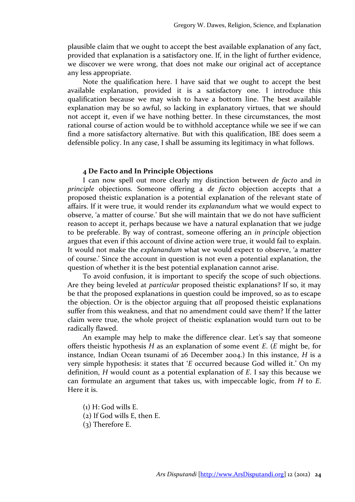plausible claim that we ought to accept the best available explanation of any fact, provided that explanation is a satisfactory one. If, in the light of further evidence, we discover we were wrong, that does not make our original act of acceptance any less appropriate.

Note the qualification here. I have said that we ought to accept the best available explanation, provided it is a satisfactory one. I introduce this qualification because we may wish to have a bottom line. The best available explanation may be so awful, so lacking in explanatory virtues, that we should not accept it, even if we have nothing better. In these circumstances, the most rational course of action would be to withhold acceptance while we see if we can find a more satisfactory alternative. But with this qualification, IBE does seem a defensible policy. In any case, I shall be assuming its legitimacy in what follows.

#### **4 De Facto and In Principle Objections**

I can now spell out more clearly my distinction between *de facto* and *in principle* objections. Someone offering a *de facto* objection accepts that a proposed theistic explanation is a potential explanation of the relevant state of affairs. If it were true, it would render its *explanandum* what we would expect to observe, 'a matter of course.' But she will maintain that we do not have sufficient reason to accept it, perhaps because we have a natural explanation that we judge to be preferable. By way of contrast, someone offering an *in principle* objection argues that even if this account of divine action were true, it would fail to explain. It would not make the *explanandum* what we would expect to observe, 'a matter of course.' Since the account in question is not even a potential explanation, the question of whether it is the best potential explanation cannot arise.

To avoid confusion, it is important to specify the scope of such objections. Are they being leveled at *particular* proposed theistic explanations? If so, it may be that the proposed explanations in question could be improved, so as to escape the objection. Or is the objector arguing that *all* proposed theistic explanations suffer from this weakness, and that no amendment could save them? If the latter claim were true, the whole project of theistic explanation would turn out to be radically flawed.

An example may help to make the difference clear. Let's say that someone offers theistic hypothesis *H* as an explanation of some event *E*. (*E* might be, for instance, Indian Ocean tsunami of 26 December 2004.) In this instance, *H* is a very simple hypothesis: it states that '*E* occurred because God willed it.' On my definition, *H* would count as a potential explanation of *E*. I say this because we can formulate an argument that takes us, with impeccable logic, from *H* to *E*. Here it is.

(1) H: God wills E.

(2) If God wills E, then E.

(3) Therefore E.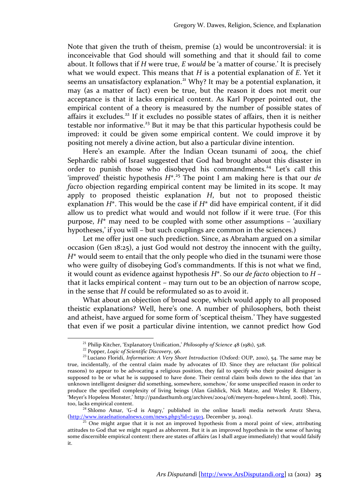Note that given the truth of theism, premise (2) would be uncontroversial: it is inconceivable that God should will something and that it should fail to come about. It follows that if *H* were true, *E would* be 'a matter of course.' It is precisely what we would expect. This means that *H* is a potential explanation of *E*. Yet it seems an unsatisfactory explanation.<sup>21</sup> Why? It may be a potential explanation, it may (as a matter of fact) even be true, but the reason it does not merit our acceptance is that it lacks empirical content. As Karl Popper pointed out, the empirical content of a theory is measured by the number of possible states of affairs it excludes.<sup>22</sup> If it excludes no possible states of affairs, then it is neither testable nor informative.<sup>23</sup> But it may be that this particular hypothesis could be improved: it could be given some empirical content. We could improve it by positing not merely a divine action, but also a particular divine intention.

Here's an example. After the Indian Ocean tsunami of 2004, the chief Sephardic rabbi of Israel suggested that God had brought about this disaster in order to punish those who disobeyed his commandments.<sup>24</sup> Let's call this 'improved' theistic hypothesis  $H^*$ <sup>25</sup>. The point I am making here is that our *de facto* objection regarding empirical content may be limited in its scope. It may apply to proposed theistic explanation *H*, but not to proposed theistic explanation *H*\*. This would be the case if *H*\* did have empirical content, if it did allow us to predict what would and would not follow if it were true. (For this purpose,  $H^*$  may need to be coupled with some other assumptions – 'auxiliary hypotheses,' if you will – but such couplings are common in the sciences.)

Let me offer just one such prediction. Since, as Abraham argued on a similar occasion (Gen 18:25), a just God would not destroy the innocent with the guilty, *H*\* would seem to entail that the only people who died in the tsunami were those who were guilty of disobeying God's commandments. If this is not what we find, it would count as evidence against hypothesis *H*\*. So our *de facto* objection to *H* – that it lacks empirical content – may turn out to be an objection of narrow scope, in the sense that *H* could be reformulated so as to avoid it.

What about an objection of broad scope, which would apply to all proposed theistic explanations? Well, here's one. A number of philosophers, both theist and atheist, have argued for some form of 'sceptical theism.' They have suggested that even if we posit a particular divine intention, we cannot predict how God

<sup>21</sup> Philip Kitcher, 'Explanatory Unification,' *Philosophy of Science* 48 (1981), 528.

<sup>22</sup> Popper, *Logic of Scientific Discovery*, 96.

<sup>23</sup> Luciano Floridi, *Information: A Very Short Introduction* (Oxford: OUP, 2010), 54. The same may be true, incidentally, of the central claim made by advocates of ID. Since they are reluctant (for political reasons) to appear to be advocating a religious position, they fail to specify who their posited designer is supposed to be or what he is supposed to have done. Their central claim boils down to the idea that 'an unknown intelligent designer did something, somewhere, somehow,' for some unspecified reason in order to produce the specified complexity of living beings (Alan Gishlick, Nick Matze, and Wesley R. Elsberry, 'Meyer's Hopeless Monster,' [http://pandasthumb.org/archives/2004/08/meyers-hopeless-1.html,](http://pandasthumb.org/archives/2004/08/meyers-hopeless-1.html) 2008). This, too, lacks empirical content.

<sup>&</sup>lt;sup>24</sup> Shlomo Amar, 'G-d is Angry,' published in the online Israeli media network Arutz Sheva, [\(http://www.israelnationalnews.com/news.php3?id=74503,](http://www.israelnationalnews.com/news.php3?id=74503) December 31, 2004).

 $25$  One might argue that it is not an improved hypothesis from a moral point of view, attributing attitudes to God that we might regard as abhorrent. But it is an improved hypothesis in the sense of having some discernible empirical content: there are states of affairs (as I shall argue immediately) that would falsify it.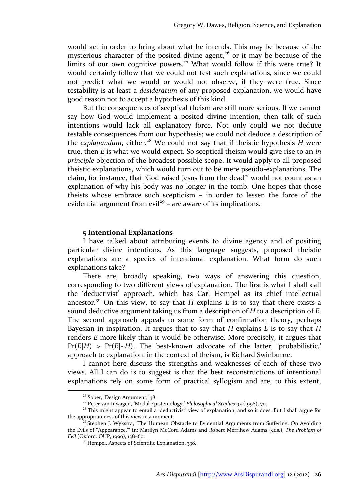would act in order to bring about what he intends. This may be because of the mysterious character of the posited divine agent,<sup>26</sup> or it may be because of the limits of our own cognitive powers.<sup>27</sup> What would follow if this were true? It would certainly follow that we could not test such explanations, since we could not predict what we would or would not observe, if they were true. Since testability is at least a *desideratum* of any proposed explanation, we would have good reason not to accept a hypothesis of this kind.

But the consequences of sceptical theism are still more serious. If we cannot say how God would implement a posited divine intention, then talk of such intentions would lack all explanatory force. Not only could we not deduce testable consequences from our hypothesis; we could not deduce a description of the *explanandum*, either.<sup>28</sup> We could not say that if theistic hypothesis  $H$  were true, then *E* is what we would expect. So sceptical theism would give rise to an *in principle* objection of the broadest possible scope. It would apply to all proposed theistic explanations, which would turn out to be mere pseudo-explanations. The claim, for instance, that 'God raised Jesus from the dead'" would not count as an explanation of why his body was no longer in the tomb. One hopes that those theists whose embrace such scepticism – in order to lessen the force of the evidential argument from evil<sup>29</sup> – are aware of its implications.

## **5 Intentional Explanations**

I have talked about attributing events to divine agency and of positing particular divine intentions. As this language suggests, proposed theistic explanations are a species of intentional explanation. What form do such explanations take?

There are, broadly speaking, two ways of answering this question, corresponding to two different views of explanation. The first is what I shall call the 'deductivist' approach, which has Carl Hempel as its chief intellectual ancestor.<sup>30</sup> On this view, to say that *H* explains *E* is to say that there exists a sound deductive argument taking us from a description of *H* to a description of *E*. The second approach appeals to some form of confirmation theory, perhaps Bayesian in inspiration. It argues that to say that *H* explains *E* is to say that *H* renders *E* more likely than it would be otherwise. More precisely, it argues that  $Pr(E|H)$  >  $Pr(E|\sim H)$ . The best-known advocate of the latter, 'probabilistic,' approach to explanation, in the context of theism, is Richard Swinburne.

I cannot here discuss the strengths and weaknesses of each of these two views. All I can do is to suggest is that the best reconstructions of intentional explanations rely on some form of practical syllogism and are, to this extent,

<sup>26</sup> Sober, 'Design Argument,' 38.

<sup>27</sup> Peter van Inwagen, 'Modal Epistemology,' *Philosophical Studies* 92 (1998), 70.

<sup>&</sup>lt;sup>28</sup> This might appear to entail a 'deductivist' view of explanation, and so it does. But I shall argue for the appropriateness of this view in a moment.

<sup>&</sup>lt;sup>29</sup> Stephen J. Wykstra, 'The Humean Obstacle to Evidential Arguments from Suffering: On Avoiding the Evils of "Appearance."' in: Marilyn McCord Adams and Robert Merrihew Adams (eds.), *The Problem of Evil* (Oxford: OUP, 1990), 138–60.

<sup>&</sup>lt;sup>30</sup> Hempel, Aspects of Scientific Explanation, 338.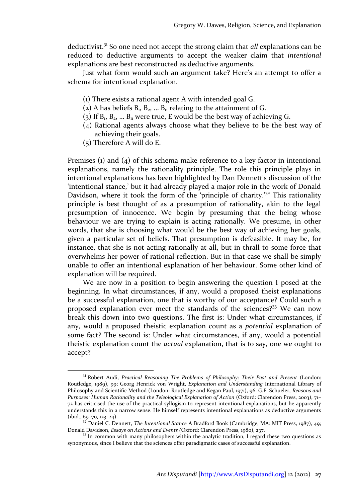deductivist.<sup>31</sup> So one need not accept the strong claim that *all* explanations can be reduced to deductive arguments to accept the weaker claim that *intentional* explanations are best reconstructed as deductive arguments.

Just what form would such an argument take? Here's an attempt to offer a schema for intentional explanation.

- (1) There exists a rational agent A with intended goal G.
- (2) A has beliefs  $B_1, B_2, ... B_n$  relating to the attainment of G.
- (3) If  $B_1, B_2, ... B_n$  were true, E would be the best way of achieving G.
- (4) Rational agents always choose what they believe to be the best way of achieving their goals.
- (5) Therefore A will do E.

 $\overline{a}$ 

Premises (1) and (4) of this schema make reference to a key factor in intentional explanations, namely the rationality principle. The role this principle plays in intentional explanations has been highlighted by Dan Dennett's discussion of the 'intentional stance,' but it had already played a major role in the work of Donald Davidson, where it took the form of the 'principle of charity.'<sup>32</sup> This rationality principle is best thought of as a presumption of rationality, akin to the legal presumption of innocence. We begin by presuming that the being whose behaviour we are trying to explain is acting rationally. We presume, in other words, that she is choosing what would be the best way of achieving her goals, given a particular set of beliefs. That presumption is defeasible. It may be, for instance, that she is not acting rationally at all, but in thrall to some force that overwhelms her power of rational reflection. But in that case we shall be simply unable to offer an intentional explanation of her behaviour. Some other kind of explanation will be required.

We are now in a position to begin answering the question I posed at the beginning. In what circumstances, if any, would a proposed theist explanations be a successful explanation, one that is worthy of our acceptance? Could such a proposed explanation ever meet the standards of the sciences?<sup>33</sup> We can now break this down into two questions. The first is: Under what circumstances, if any, would a proposed theistic explanation count as a *potential* explanation of some fact? The second is: Under what circumstances, if any, would a potential theistic explanation count the *actual* explanation, that is to say, one we ought to accept?

<sup>31</sup> Robert Audi, *Practical Reasoning The Problems of Philosophy: Their Past and Present* (London: Routledge, 1989), 99; Georg Henrick von Wright, *Explanation and Understanding* International Library of Philosophy and Scientific Method (London: Routledge and Kegan Paul, 1971), 96. G.F. Schueler, *Reasons and Purposes: Human Rationality and the Teleological Explanation of Action* (Oxford: Clarendon Press, 2003), 71– 72 has criticised the use of the practical syllogism to represent intentional explanations, but he apparently understands this in a narrow sense. He himself represents intentional explanations as deductive arguments (ibid., 69–70, 123–24).

<sup>32</sup> Daniel C. Dennett, *The Intentional Stance* A Bradford Book (Cambridge, MA: MIT Press, 1987), 49; Donald Davidson, *Essays on Actions and Events (*Oxford: Clarendon Press, 1980), 237.

 $33$  In common with many philosophers within the analytic tradition, I regard these two questions as synonymous, since I believe that the sciences offer paradigmatic cases of successful explanation.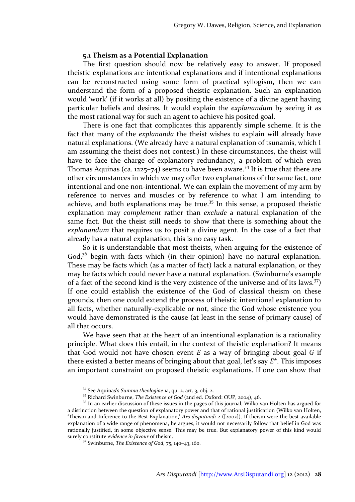## **5.1 Theism as a Potential Explanation**

The first question should now be relatively easy to answer. If proposed theistic explanations are intentional explanations and if intentional explanations can be reconstructed using some form of practical syllogism, then we can understand the form of a proposed theistic explanation. Such an explanation would 'work' (if it works at all) by positing the existence of a divine agent having particular beliefs and desires. It would explain the *explanandum* by seeing it as the most rational way for such an agent to achieve his posited goal.

There is one fact that complicates this apparently simple scheme. It is the fact that many of the *explananda* the theist wishes to explain will already have natural explanations. (We already have a natural explanation of tsunamis, which I am assuming the theist does not contest.) In these circumstances, the theist will have to face the charge of explanatory redundancy, a problem of which even Thomas Aquinas (ca. 1225–74) seems to have been aware.<sup>34</sup> It is true that there are other circumstances in which we may offer two explanations of the same fact, one intentional and one non-intentional. We can explain the movement of my arm by reference to nerves and muscles or by reference to what I am intending to achieve, and both explanations may be true.<sup>35</sup> In this sense, a proposed theistic explanation may *complement* rather than *exclude* a natural explanation of the same fact. But the theist still needs to show that there is something about the *explanandum* that requires us to posit a divine agent. In the case of a fact that already has a natural explanation, this is no easy task.

So it is understandable that most theists, when arguing for the existence of  $God<sup>36</sup> begin with facts which (in their opinion) have no natural explanation.$ These may be facts which (as a matter of fact) lack a natural explanation, or they may be facts which could never have a natural explanation. (Swinburne's example of a fact of the second kind is the very existence of the universe and of its laws.<sup>37</sup>) If one could establish the existence of the God of classical theism on these grounds, then one could extend the process of theistic intentional explanation to all facts, whether naturally-explicable or not, since the God whose existence you would have demonstrated is the cause (at least in the sense of primary cause) of all that occurs.

We have seen that at the heart of an intentional explanation is a rationality principle. What does this entail, in the context of theistic explanation? It means that God would not have chosen event *E* as a way of bringing about goal *G* if there existed a better means of bringing about that goal, let's say *E*\*. This imposes an important constraint on proposed theistic explanations. If one can show that

<sup>34</sup> See Aquinas's *Summa theologiae* 1a, qu. 2. art. 3, obj. 2.

<sup>35</sup> Richard Swinburne, *The Existence of God* (2nd ed. Oxford: OUP, 2004), 46.

<sup>&</sup>lt;sup>36</sup> In an earlier discussion of these issues in the pages of this journal, Wilko van Holten has argued for a distinction between the question of explanatory power and that of rational justification (Wilko van Holten, 'Theism and Inference to the Best Explanation,' *Ars disputandi* 2 ([2002]). If theism were the best available explanation of a wide range of phenomena, he argues, it would not necessarily follow that belief in God was rationally justified, in some objective sense. This may be true. But explanatory power of this kind would surely constitute *evidence in favour* of theism.

<sup>37</sup> Swinburne, *The Existence of God*, 75, 140–43, 160.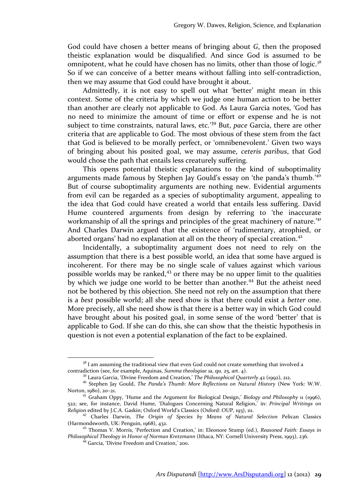God could have chosen a better means of bringing about *G*, then the proposed theistic explanation would be disqualified. And since God is assumed to be omnipotent, what he could have chosen has no limits, other than those of logic.<sup>38</sup> So if we can conceive of a better means without falling into self-contradiction, then we may assume that God could have brought it about.

Admittedly, it is not easy to spell out what 'better' might mean in this context. Some of the criteria by which we judge one human action to be better than another are clearly not applicable to God. As Laura Garcia notes, 'God has no need to minimize the amount of time or effort or expense and he is not subject to time constraints, natural laws, etc.' <sup>39</sup> But, *pace* Garcia, there are other criteria that are applicable to God. The most obvious of these stem from the fact that God is believed to be morally perfect, or 'omnibenevolent.' Given two ways of bringing about his posited goal, we may assume, *ceteris paribus*, that God would chose the path that entails less creaturely suffering.

This opens potential theistic explanations to the kind of suboptimality arguments made famous by Stephen Jay Gould's essay on 'the panda's thumb.<sup>'40</sup> But of course suboptimality arguments are nothing new. Evidential arguments from evil can be regarded as a species of suboptimality argument, appealing to the idea that God could have created a world that entails less suffering. David Hume countered arguments from design by referring to 'the inaccurate workmanship of all the springs and principles of the great machinery of nature.'<sup>41</sup> And Charles Darwin argued that the existence of 'rudimentary, atrophied, or aborted organs' had no explanation at all on the theory of special creation.<sup>42</sup>

Incidentally, a suboptimality argument does not need to rely on the assumption that there is a best possible world, an idea that some have argued is incoherent. For there may be no single scale of values against which various possible worlds may be ranked, $43$  or there may be no upper limit to the qualities by which we judge one world to be better than another.<sup>44</sup> But the atheist need not be bothered by this objection. She need not rely on the assumption that there is a *best* possible world; all she need show is that there could exist a *better* one. More precisely, all she need show is that there is a better way in which God could have brought about his posited goal, in some sense of the word 'better' that is applicable to God. If she can do this, she can show that the theistic hypothesis in question is not even a potential explanation of the fact to be explained.

 $38$  I am assuming the traditional view that even God could not create something that involved a contradiction (see, for example, Aquinas, *Summa theologiae* 1a, qu. 25, art. 4).

<sup>39</sup> Laura Garcia, 'Divine Freedom and Creation,' *The Philosophical Quarterly* 42 (1992), 212.

<sup>40</sup> Stephen Jay Gould, *The Panda's Thumb: More Reflections on Natural History* (New York: W.W. Norton, 1980), 20-21.

<sup>41</sup> Graham Oppy, 'Hume and the Argument for Biological Design,' *Biology and Philosophy* 11 (1996), 522; see, for instance, David Hume, 'Dialogues Concerning Natural Religion,' in: *Principal Writings on Religion* edited by J.C.A. Gaskin; Oxford World's Classics (Oxford: OUP, 193), 111.

<sup>42</sup> Charles Darwin, *The Origin of Species by Means of Natural Selection* Pelican Classics (Harmondsworth, UK: Penguin, 1968), 432.

<sup>43</sup> Thomas V. Morris, 'Perfection and Creation,' in: Eleonore Stump (ed.), *Reasoned Faith: Essays in Philosophical Theology in Honor of Norman Kretzmann* (Ithaca, NY: Cornell University Press, 1993), 236.

<sup>&</sup>lt;sup>4</sup> Garcia, 'Divine Freedom and Creation,' 200.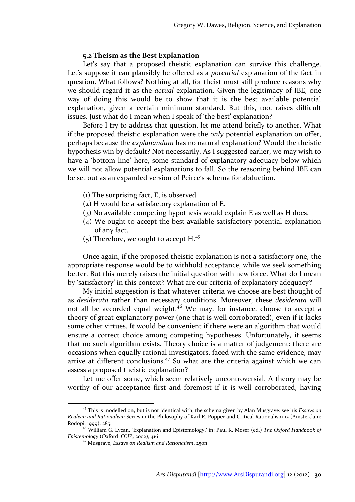## **5.2 Theism as the Best Explanation**

Let's say that a proposed theistic explanation can survive this challenge. Let's suppose it can plausibly be offered as a *potential* explanation of the fact in question. What follows? Nothing at all, for theist must still produce reasons why we should regard it as the *actual* explanation. Given the legitimacy of IBE, one way of doing this would be to show that it is the best available potential explanation, given a certain minimum standard. But this, too, raises difficult issues. Just what do I mean when I speak of 'the best' explanation?

Before I try to address that question, let me attend briefly to another. What if the proposed theistic explanation were the *only* potential explanation on offer, perhaps because the *explanandum* has no natural explanation? Would the theistic hypothesis win by default? Not necessarily. As I suggested earlier, we may wish to have a 'bottom line' here, some standard of explanatory adequacy below which we will not allow potential explanations to fall. So the reasoning behind IBE can be set out as an expanded version of Peirce's schema for abduction.

- (1) The surprising fact, E, is observed.
- (2) H would be a satisfactory explanation of E.
- (3) No available competing hypothesis would explain E as well as H does.
- (4) We ought to accept the best available satisfactory potential explanation of any fact.
- (5) Therefore, we ought to accept H. 45

Once again, if the proposed theistic explanation is not a satisfactory one, the appropriate response would be to withhold acceptance, while we seek something better. But this merely raises the initial question with new force. What do I mean by 'satisfactory' in this context? What are our criteria of explanatory adequacy?

My initial suggestion is that whatever criteria we choose are best thought of as *desiderata* rather than necessary conditions. Moreover, these *desiderata* will not all be accorded equal weight.<sup>46</sup> We may, for instance, choose to accept a theory of great explanatory power (one that is well corroborated), even if it lacks some other virtues. It would be convenient if there were an algorithm that would ensure a correct choice among competing hypotheses. Unfortunately, it seems that no such algorithm exists. Theory choice is a matter of judgement: there are occasions when equally rational investigators, faced with the same evidence, may arrive at different conclusions.<sup>47</sup> So what are the criteria against which we can assess a proposed theistic explanation?

Let me offer some, which seem relatively uncontroversial. A theory may be worthy of our acceptance first and foremost if it is well corroborated, having

<sup>45</sup> This is modelled on, but is not identical with, the schema given by Alan Musgrave: see his *Essays on Realism and Rationalism* Series in the Philosophy of Karl R. Popper and Critical Rationalism 12 (Amsterdam: Rodopi, 1999), 285.

<sup>46</sup> William G. Lycan, 'Explanation and Epistemology,' in: Paul K. Moser (ed.) *The Oxford Handbook of Epistemology* (Oxford: OUP, 2002), 416

<sup>47</sup> Musgrave, *Essays on Realism and Rationalism*, 250n.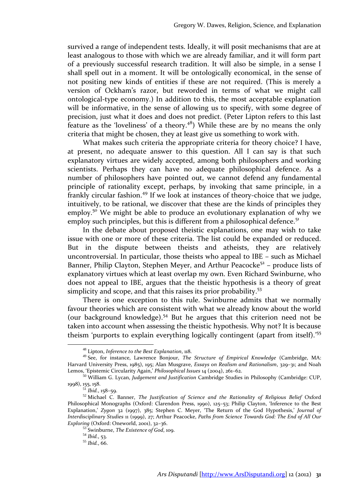survived a range of independent tests. Ideally, it will posit mechanisms that are at least analogous to those with which we are already familiar, and it will form part of a previously successful research tradition. It will also be simple, in a sense I shall spell out in a moment. It will be ontologically economical, in the sense of not positing new kinds of entities if these are not required. (This is merely a version of Ockham's razor, but reworded in terms of what we might call ontological-type economy.) In addition to this, the most acceptable explanation will be informative, in the sense of allowing us to specify, with some degree of precision, just what it does and does not predict. (Peter Lipton refers to this last feature as the 'loveliness' of a theory.<sup>48</sup>) While these are by no means the only criteria that might be chosen, they at least give us something to work with.

What makes such criteria the appropriate criteria for theory choice? I have, at present, no adequate answer to this question. All I can say is that such explanatory virtues are widely accepted, among both philosophers and working scientists. Perhaps they can have no adequate philosophical defence. As a number of philosophers have pointed out, we cannot defend any fundamental principle of rationality except, perhaps, by invoking that same principle, in a frankly circular fashion.<sup>49</sup> If we look at instances of theory-choice that we judge, intuitively, to be rational, we discover that these are the kinds of principles they employ.<sup>50</sup> We might be able to produce an evolutionary explanation of why we employ such principles, but this is different from a philosophical defence.<sup>51</sup>

In the debate about proposed theistic explanations, one may wish to take issue with one or more of these criteria. The list could be expanded or reduced. But in the dispute between theists and atheists, they are relatively uncontroversial. In particular, those theists who appeal to IBE – such as Michael Banner, Philip Clayton, Stephen Meyer, and Arthur Peacocke<sup>52</sup> - produce lists of explanatory virtues which at least overlap my own. Even Richard Swinburne, who does not appeal to IBE, argues that the theistic hypothesis is a theory of great simplicity and scope, and that this raises its prior probability.<sup>53</sup>

There is one exception to this rule. Swinburne admits that we normally favour theories which are consistent with what we already know about the world (our background knowledge).<sup>54</sup> But he argues that this criterion need not be taken into account when assessing the theistic hypothesis. Why not? It is because theism 'purports to explain everything logically contingent (apart from itself).' 55

<sup>48</sup> Lipton, *Inference to the Best Explanation*, 118.

<sup>49</sup> See, for instance, Lawrence Bonjour, *The Structure of Empirical Knowledge* (Cambridge, MA: Harvard University Press, 1985), 195; Alan Musgrave, *Essays on Realism and Rationalism*, 329–31; and Noah Lemos, 'Epistemic Circularity Again,' *Philosophical Issues* 14 (2004), 261–62.

<sup>50</sup> William G. Lycan, *Judgement and Justification* Cambridge Studies in Philosophy (Cambridge: CUP, 1998), 155, 158.

<sup>51</sup> *Ibid.*, 158–59.

<sup>52</sup> Michael C. Banner, *The Justification of Science and the Rationality of Religious Belief* Oxford Philosophical Monographs (Oxford: Clarendon Press, 1990), 125–53; Philip Clayton, 'Inference to the Best Explanation,' *Zygon* 32 (1997), 385; Stephen C. Meyer, 'The Return of the God Hypothesis,' *Journal of Interdisciplinary Studies* 11 (1999), 27; Arthur Peacocke, *Paths from Science Towards God: The End of All Our Exploring* (Oxford: Oneworld, 2001), 32–36.

<sup>53</sup> Swinburne, *The Existence of God*, 109.

<sup>54</sup> *Ibid.*, 53.

<sup>55</sup> *Ibid.*, 66.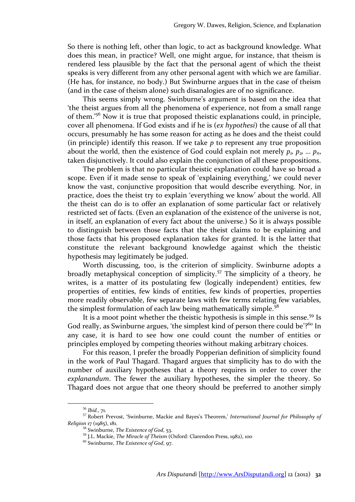So there is nothing left, other than logic, to act as background knowledge. What does this mean, in practice? Well, one might argue, for instance, that theism is rendered less plausible by the fact that the personal agent of which the theist speaks is very different from any other personal agent with which we are familiar. (He has, for instance, no body.) But Swinburne argues that in the case of theism (and in the case of theism alone) such disanalogies are of no significance.

This seems simply wrong. Swinburne's argument is based on the idea that 'the theist argues from all the phenomena of experience, not from a small range of them.<sup>'56</sup> Now it is true that proposed theistic explanations could, in principle, cover all phenomena. If God exists and if he is (*ex hypothesi*) the cause of all that occurs, presumably he has some reason for acting as he does and the theist could (in principle) identify this reason. If we take *p* to represent any true proposition about the world, then the existence of God could explain not merely  $p_i$ ,  $p_2$ , ...  $p_n$ , taken disjunctively. It could also explain the conjunction of all these propositions.

The problem is that no particular theistic explanation could have so broad a scope. Even if it made sense to speak of 'explaining everything,' we could never know the vast, conjunctive proposition that would describe everything. Nor, in practice, does the theist try to explain 'everything we know' about the world. All the theist can do is to offer an explanation of some particular fact or relatively restricted set of facts. (Even an explanation of the existence of the universe is not, in itself, an explanation of every fact about the universe.) So it is always possible to distinguish between those facts that the theist claims to be explaining and those facts that his proposed explanation takes for granted. It is the latter that constitute the relevant background knowledge against which the theistic hypothesis may legitimately be judged.

Worth discussing, too, is the criterion of simplicity. Swinburne adopts a broadly metaphysical conception of simplicity.<sup>57</sup> The simplicity of a theory, he writes, is a matter of its postulating few (logically independent) entities, few properties of entities, few kinds of entities, few kinds of properties, properties more readily observable, few separate laws with few terms relating few variables, the simplest formulation of each law being mathematically simple.<sup>58</sup>

It is a moot point whether the theistic hypothesis is simple in this sense.<sup>59</sup> Is God really, as Swinburne argues, 'the simplest kind of person there could be'?<sup>60</sup> In any case, it is hard to see how one could count the number of entities or principles employed by competing theories without making arbitrary choices.

For this reason, I prefer the broadly Popperian definition of simplicity found in the work of Paul Thagard. Thagard argues that simplicity has to do with the number of auxiliary hypotheses that a theory requires in order to cover the *explanandum*. The fewer the auxiliary hypotheses, the simpler the theory. So Thagard does not argue that one theory should be preferred to another simply

<sup>56</sup> *Ibid.*, 71.

<sup>57</sup> Robert Prevost, 'Swinburne, Mackie and Bayes's Theorem,' *International Journal for Philosophy of Religion* 17 (1985), 181.

<sup>58</sup> Swinburne, *The Existence of God*, 53.

<sup>59</sup> J.L. Mackie, *The Miracle of Theism* (Oxford: Clarendon Press, 1982), 100

<sup>60</sup> Swinburne, *The Existence of God*, 97.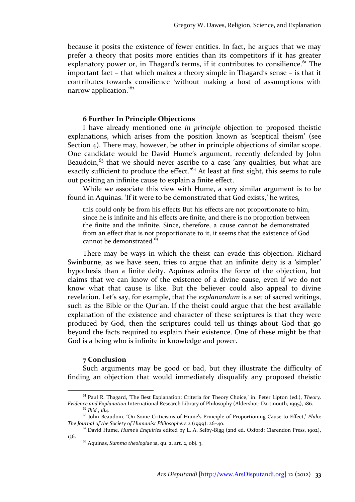because it posits the existence of fewer entities. In fact, he argues that we may prefer a theory that posits more entities than its competitors if it has greater explanatory power or, in Thagard's terms, if it contributes to consilience.<sup>61</sup> The important fact – that which makes a theory simple in Thagard's sense – is that it contributes towards consilience 'without making a host of assumptions with narrow application.'<sup>62</sup>

#### **6 Further In Principle Objections**

I have already mentioned one *in principle* objection to proposed theistic explanations, which arises from the position known as 'sceptical theism' (see Section 4). There may, however, be other in principle objections of similar scope. One candidate would be David Hume's argument, recently defended by John Beaudoin, $63$  that we should never ascribe to a case 'any qualities, but what are exactly sufficient to produce the effect.<sup>'64</sup> At least at first sight, this seems to rule out positing an infinite cause to explain a finite effect.

While we associate this view with Hume, a very similar argument is to be found in Aquinas. 'If it were to be demonstrated that God exists,' he writes,

this could only be from his effects But his effects are not proportionate to him, since he is infinite and his effects are finite, and there is no proportion between the finite and the infinite. Since, therefore, a cause cannot be demonstrated from an effect that is not proportionate to it, it seems that the existence of God cannot be demonstrated.<sup>65</sup>

There may be ways in which the theist can evade this objection. Richard Swinburne, as we have seen, tries to argue that an infinite deity is a 'simpler' hypothesis than a finite deity. Aquinas admits the force of the objection, but claims that we can know of the existence of a divine cause, even if we do not know what that cause is like. But the believer could also appeal to divine revelation. Let's say, for example, that the *explanandum* is a set of sacred writings, such as the Bible or the Qur'an. If the theist could argue that the best available explanation of the existence and character of these scriptures is that they were produced by God, then the scriptures could tell us things about God that go beyond the facts required to explain their existence. One of these might be that God is a being who is infinite in knowledge and power.

## **7 Conclusion**

 $\overline{a}$ 

Such arguments may be good or bad, but they illustrate the difficulty of finding an objection that would immediately disqualify any proposed theistic

<sup>61</sup> Paul R. Thagard, 'The Best Explanation: Criteria for Theory Choice,' in: Peter Lipton (ed.), *Theory, Evidence and Explanation* International Research Library of Philosophy (Aldershot: Dartmouth, 1995), 186. <sup>62</sup> *Ibid.*, 184.

<sup>63</sup> John Beaudoin, 'On Some Criticisms of Hume's Principle of Proportioning Cause to Effect,' *Philo: The Journal of the Society of Humanist Philosophers* 2 (1999): 26–40.

<sup>64</sup> David Hume, *Hume's Enquiries* edited by L. A. Selby-Bigg (2nd ed. Oxford: Clarendon Press, 1902), 136.

<sup>65</sup> Aquinas, *Summa theologiae* 1a, qu. 2. art. 2, obj. 3.